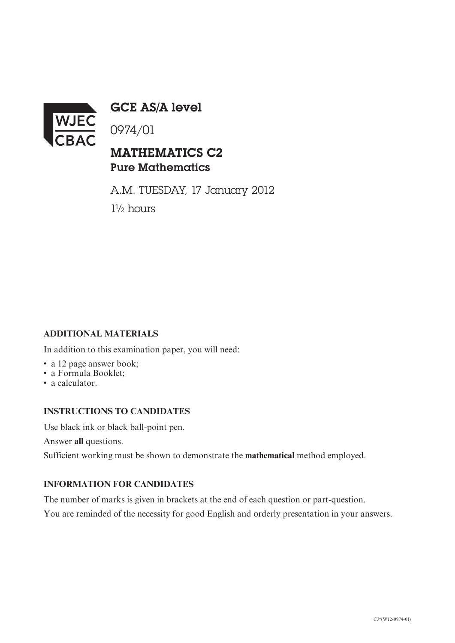

GCE AS/A level

0974/01

## MATHEMATICS C2 Pure Mathematics

A.M. TUESDAY, 17 January 2012 1½ hours

### **ADDITIONAL MATERIALS**

In addition to this examination paper, you will need:

- a 12 page answer book:
- a Formula Booklet;
- a calculator.

#### **INSTRUCTIONS TO CANDIDATES**

Use black ink or black ball-point pen.

Answer **all** questions.

Sufficient working must be shown to demonstrate the **mathematical** method employed.

#### **INFORMATION FOR CANDIDATES**

The number of marks is given in brackets at the end of each question or part-question.

You are reminded of the necessity for good English and orderly presentation in your answers.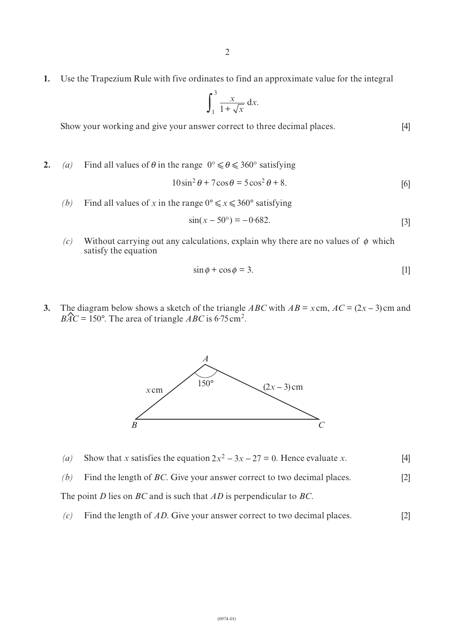**1.** Use the Trapezium Rule with five ordinates to find an approximate value for the integral

$$
\int_{1}^{3} \frac{x}{1 + \sqrt{x}} \, \mathrm{d}x.
$$

Show your working and give your answer correct to three decimal places. [4]

**2.** (a) Find all values of  $\theta$  in the range  $0^\circ \le \theta \le 360^\circ$  satisfying

$$
10\sin^2\theta + 7\cos\theta = 5\cos^2\theta + 8.
$$
 [6]

*(b)* Find all values of *x* in the range  $0^\circ \le x \le 360^\circ$  satisfying

$$
\sin(x - 50^{\circ}) = -0.682. \tag{3}
$$

(c) Without carrying out any calculations, explain why there are no values of  $\phi$  which satisfy the equation

$$
\sin \phi + \cos \phi = 3. \tag{1}
$$

**3.** The diagram below shows a sketch of the triangle *ABC* with  $AB = x \text{ cm}$ ,  $AC = (2x - 3) \text{ cm}$  and  $BAC = 150^\circ$ . The area of triangle *ABC* is 6.75 cm<sup>2</sup>  $BAC = 150^{\circ}$ . The area of triangle *ABC* is 6.75 cm<sup>2</sup>.



|  | (a) Show that x satisfies the equation $2x^2 - 3x - 27 = 0$ . Hence evaluate x. | [4] |
|--|---------------------------------------------------------------------------------|-----|
|--|---------------------------------------------------------------------------------|-----|

*(b)* Find the length of *BC*. Give your answer correct to two decimal places. [2]

The point *D* lies on *BC* and is such that *AD* is perpendicular to *BC*.

*(c)* Find the length of *AD*. Give your answer correct to two decimal places. [2]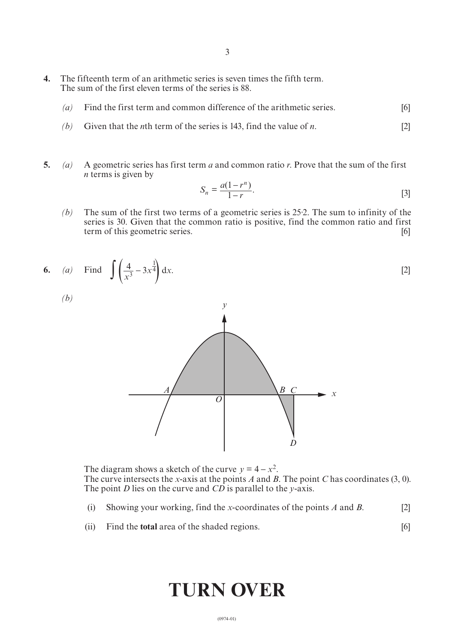- **4.** The fifteenth term of an arithmetic series is seven times the fifth term. The sum of the first eleven terms of the series is 88.
	- *(a)* Find the first term and common difference of the arithmetic series. [6]
	- *(b)* Given that the *n*th term of the series is 143, find the value of *n*. [2]
- **5.** *(a)* A geometric series has first term *a* and common ratio *r*. Prove that the sum of the first *n* terms is given by

$$
S_n = \frac{a(1 - r^n)}{1 - r}.
$$
\n<sup>[3]</sup>

*(b)* The sum of the first two terms of a geometric series is 25·2. The sum to infinity of the series is 30. Given that the common ratio is positive, find the common ratio and first term of this geometric series. [6]

6. (a) Find 
$$
\int \left(\frac{4}{x^3} - 3x^{\frac{1}{4}}\right) dx
$$
. [2]

*(b)*



The diagram shows a sketch of the curve  $y = 4 - x^2$ . The curve intersects the *x*-axis at the points *A* and *B*. The point *C* has coordinates (3, 0). The point *D* lies on the curve and *CD* is parallel to the *y*-axis.

- (i) Showing your working, find the *x*-coordinates of the points *A* and *B*. [2]
- (ii) Find the **total** area of the shaded regions. [6]

# **TURN OVER**